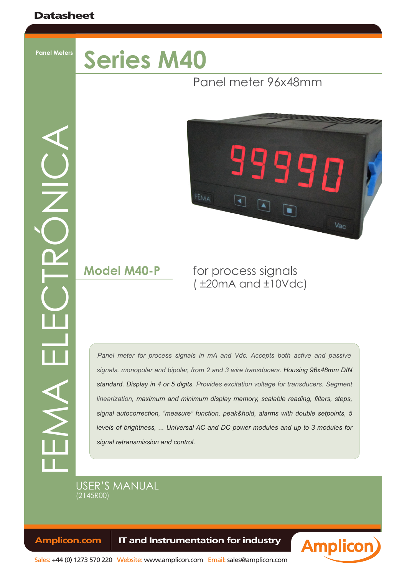**Panel Meters**

# **Series M40**

## Panel meter 96x48mm

FEMA ELECTRÓNICA



## **Model M40-P** for process signals ( ±20mA and ±10Vdc)

Panel meter for process signals in mA and Vdc. Accepts both active and passive *signals, monopolar and bipolar, from 2 and 3 wire transducers. Housing 96x48mm DIN standard. Display in 4 or 5 digits. Provides excitation voltage for transducers. Segment linearization, maximum and minimum display memory, scalable reading, filters, steps, signal autocorrection, "measure" function, peak&hold, alarms with double setpoints, 5 levels of brightness, ... Universal AC and DC power modules and up to 3 modules for signal retransmission and control.*

## USER'S MANUAL (2145r00)

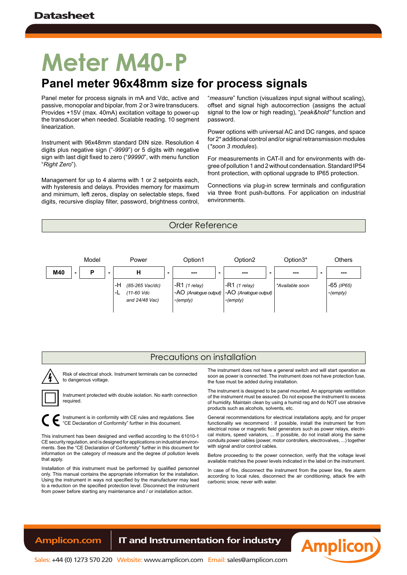# **Meter M40-P**

# **Panel meter 96x48mm size for process signals**

Panel meter for process signals in mA and Vdc, active and passive, monopolar and bipolar, from 2 or 3 wire transducers. Provides +15V (max. 40mA) excitation voltage to power-up the transducer when needed. Scalable reading. 10 segment linearization.

Instrument with 96x48mm standard DIN size. Resolution 4 digits plus negative sign ("*-9999*") or 5 digits with negative sign with last digit fixed to zero ("*99990*", with menu function "*Right Zero*").

Management for up to 4 alarms with 1 or 2 setpoints each, with hysteresis and delays. Provides memory for maximum and minimum, left zeros, display on selectable steps, fixed digits, recursive display filter, password, brightness control,

"*measure*" function (visualizes input signal without scaling), offset and signal high autocorrection (assigns the actual signal to the low or high reading), "*peak&hold"* function and password.

Power options with universal AC and DC ranges, and space for 2\* additional control and/or signal retransmission modules (*\*soon 3 modules*).

For measurements in CAT-II and for environments with degree of pollution 1 and 2 without condensation. Standard IP54 front protection, with optional upgrade to IP65 protection.

Connections via plug-in screw terminals and configuration via three front push-buttons. For application on industrial environments.





#### Precautions on installation

Risk of electrical shock. Instrument terminals can be connected to dangerous voltage.

Instrument protected with double isolation. No earth connection required.

Instrument is in conformity with CE rules and regulations. See "CE Declaration of Conformity" further in this document.

This instrument has been designed and verified according to the 61010-1 CE security regulation, and is designed for applications on industrial environments. See the "CE Declaration of Conformity" further in this document for information on the category of measure and the degree of pollution levels that apply.

Installation of this instrument must be performed by qualified personnel only. This manual contains the appropriate information for the installation. Using the instrument in ways not specified by the manufacturer may lead to a reduction on the specified protection level. Disconnect the instrument from power before starting any maintenance and / or installation action.

The instrument does not have a general switch and will start operation as soon as power is connected. The instrument does not have protection fuse, the fuse must be added during installation.

The instrument is designed to be panel mounted. An appropriate ventilation of the instrument must be assured. Do not expose the instrument to excess of humidity. Maintain clean by using a humid rag and do NOT use abrasive products such as alcohols, solvents, etc.

General recommendations for electrical installations apply, and for proper functionality we recommend : if possible, install the instrument far from electrical noise or magnetic field generators such as power relays, electrical motors, speed variators, ... If possible, do not install along the same conduits power cables (power, motor controllers, electrovalves, ...) together with signal and/or control cables

Before proceeding to the power connection, verify that the voltage level available matches the power levels indicated in the label on the instrument.

In case of fire, disconnect the instrument from the power line, fire alarm according to local rules, disconnect the air conditioning, attack fire with carbonic snow, never with water.

**Amplicon**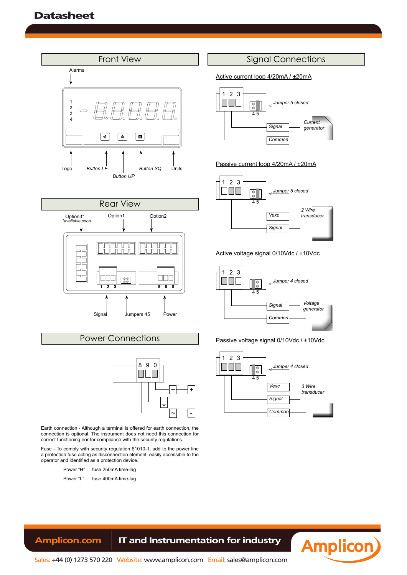**User's Manual M40-P**





#### Power Connections



Earth connection - Although a terminal is offered for earth connection, the connection is optional. The instrument does not need this connection for correct functioning nor for compliance with the security regulations.

Fuse - To comply with security regulation 61010-1, add to the power line a protection fuse acting as disconnection element, easily accessible to the operator and identified as a protection device.

- Power "H" fuse 250mA time-lag
- Power "L" fuse 400mA time-lag

#### Signal Connections

Active current loop 4/20mA / ±20mA



#### Passive current loop 4/20mA / ±20mA



#### Active voltage signal 0/10Vdc / ±10Vdc



#### Passive voltage signal 0/10Vdc / ±10Vdc







Sales: +44 (0) 1273 570 220 Website: www.amplicon.com Email: sales@amplicon.com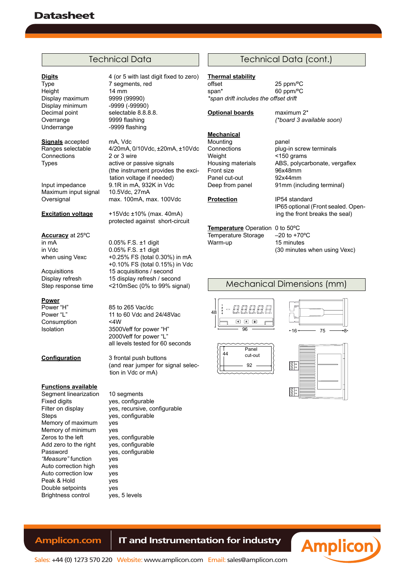## **Datasheet**

#### Technical Data

Height 14 mm<br>Display maximum 9999 (99990) Display maximum 9999 (99990) Display minimum Decimal point selectable 8.8.8.8. Overrange 9999 flashing Underrange -9999 flashing

**Signals** accepted mA, Vdc Connections 2 or 3 wire<br>
Types active or p

Maximum input signal

**Accuracy** at 25ºC in mA  $0.05\%$  F.S. ±1 digit<br>in Vdc  $0.05\%$  F.S. ±1 digit

**Power**<br>Power "H" Consumption <4W

#### **Functions available**

Segment linearization 10 segments Fixed digits yes, configurable Steps yes, configurable Memory of maximum yes<br>Memory of minimum yes Memory of minimum<br>Zeros to the left Add zero to the right Password yes, configurable *"Measure"* function yes Auto correction high yes Auto correction low yes Peak & Hold yes Double setpoints yes<br>Brightness control yes, 5 levels Brightness control

**Digits** 4 (or 5 with last digit fixed to zero) Type 7 segments, red

Ranges selectable 4/20mA, 0/10Vdc, ±20mA, ±10Vdc active or passive signals (the instrument provides the excitation voltage if needed) Input impedance 9.1R in mA, 932K in Vdc Oversignal max. 100mA, max. 100Vdc

**Excitation voltage** +15Vdc ±10% (max. 40mA) protected against short-circuit

in Vdc 0.05% F.S. ±1 digit<br>when using Vexc +0.25% FS (total 0. +0.25% FS (total 0.30%) in mA +0.10% FS (total 0.15%) in Vdc Acquisitions 15 acquisitions / second<br>Display refresh 15 display refresh / seco 15 display refresh / second Step response time <210mSec (0% to 99% signal)

Power "H" 85 to 265 Vac/dc<br>
Power "L" 11 to 60 Vdc and 11 to 60 Vdc and 24/48Vac Isolation 3500Veff for power "H" 2000Veff for power "L" all levels tested for 60 seconds

**Configuration** 3 frontal push buttons (and rear jumper for signal selection in Vdc or mA)

Filter on display ves, recursive, configurable yes, configurable<br>yes, configurable

#### Technical Data (cont.)

#### **Thermal stability**

offset 25 ppm/ºC span\* 60 ppm/°C *\*span drift includes the offset drift*

**Optional boards** maximum 2\*

#### **Mechanical**

Mounting **panel** Weight <150 grams<br>Housing materials ABS, polyca Front size 96x48mm<br>Panel cut-out 92x44mm Panel cut-out<br>Deep from panel

Connections plug-in screw terminals ABS, polycarbonate, vergaflex<br>96x48mm 91mm (including terminal)

*(\*board 3 available soon)*

**Protection IP54** standard IP65 optional (Front sealed. Opening the front breaks the seal)

**Temperature** Operation 0 to 50°C<br>Temperature Storage –20 to +70°C Temperature Storage Warm-up 15 minutes

(30 minutes when using Vexc)

#### Mechanical Dimensions (mm)









#### **Amplicon.com | IT and Instrumentation for industry**



Sales: +44 (0) 1273 570 220 Website: www.amplicon.com Email: sales@amplicon.com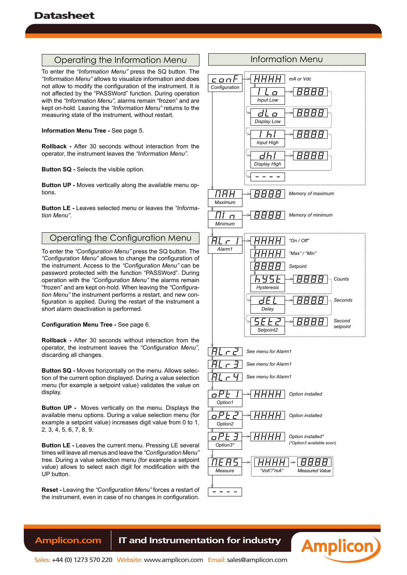**User's Manual M40-P**

#### Operating the Information Menu

To enter the *"Information Menu"* press the SQ button. The *"Information Menu"* allows to visualize information and does not allow to modify the configuration of the instrument. It is not affected by the "PASSWord" function. During operation with the *"Information Menu",* alarms remain "frozen" and are kept on-hold. Leaving the *"Information Menu"* returns to the measuring state of the instrument, without restart.

**Information Menu Tree -** See page 5.

**Rollback -** After 30 seconds without interaction from the operator, the instrument leaves the *"Information Menu"*.

**Button SQ -** Selects the visible option.

**Button UP -** Moves vertically along the available menu options.

**Button LE -** Leaves selected menu or leaves the *"Information Menu"*.

#### Operating the Configuration Menu

To enter the *"Configuration Menu"* press the SQ button. The *"Configuration Menu"* allows to change the configuration of the instrument. Access to the *"Configuration Menu"* can be password protected with the function "PASSWord". During operation with the *"Configuration Menu"* the alarms remain "frozen" and are kept on-hold. When leaving the *"Configuration Menu"* the instrument performs a restart, and new configuration is applied. During the restart of the instrument a short alarm deactivation is performed.

**Configuration Menu Tree -** See page 6.

**Rollback -** After 30 seconds without interaction from the operator, the instrument leaves the *"Configuration Menu"*, discarding all changes.

**Button SQ -** Moves horizontally on the menu. Allows selection of the current option displayed. During a value selection menu (for example a setpoint value) validates the value on display.

**Button UP -** Moves vertically on the menu. Displays the available menu options. During a value selection menu (for example a setpoint value) increases digit value from 0 to 1, 2, 3, 4, 5, 6, 7, 8, 9.

**Button LE -** Leaves the current menu. Pressing LE several times will leave all menus and leave the *"Configuration Menu"*  tree. During a value selection menu (for example a setpoint value) allows to select each digit for modification with the UP button.

**Reset -** Leaving the *"Configuration Menu"* forces a restart of the instrument, even in case of no changes in configuration.

# Information Menu



**Amplicon**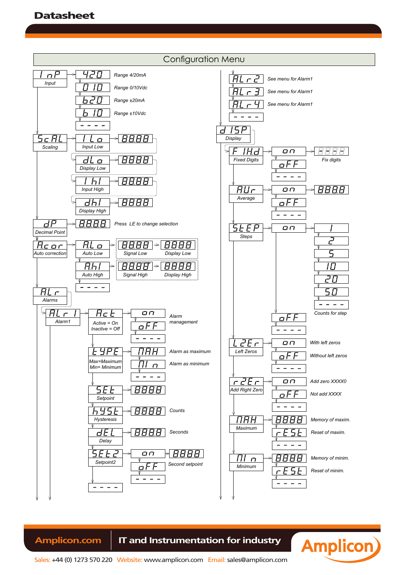

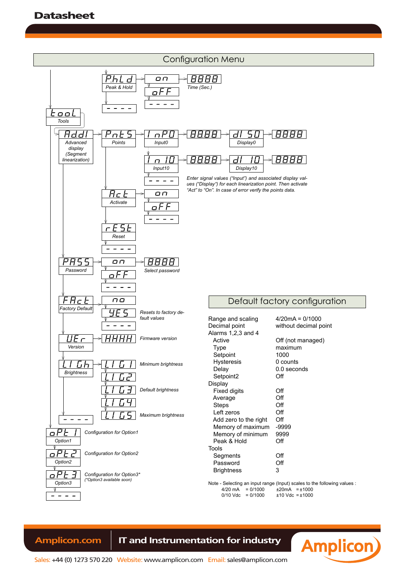

### Amplicon.com | IT and Instrumentation for industry



**Amplicon**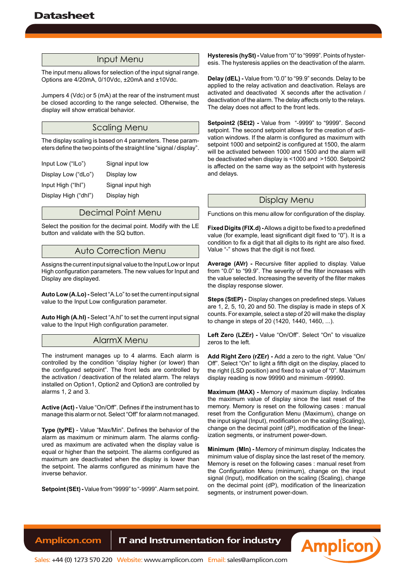#### Input Menu

The input menu allows for selection of the input signal range. Options are 4/20mA, 0/10Vdc, ±20mA and ±10Vdc.

Jumpers 4 (Vdc) or 5 (mA) at the rear of the instrument must be closed according to the range selected. Otherwise, the display will show erratical behavior.

#### Scaling Menu

The display scaling is based on 4 parameters. These parameters define the two points of the straight line "signal / display".

| Input Low ("ILo")    | Signal input low  |
|----------------------|-------------------|
| Display Low ("dLo")  | Display low       |
| Input High ("Ihl")   | Signal input high |
| Display High ("dhl") | Display high      |
|                      |                   |

#### Decimal Point Menu

Select the position for the decimal point. Modify with the LE button and validate with the SQ button.

#### Auto Correction Menu

Assigns the current input signal value to the Input Low or Input High configuration parameters. The new values for Input and Display are displayed.

**Auto Low (A.Lo) -** Select "A.Lo" to set the current input signal value to the Input Low configuration parameter.

**Auto High (A.hI) -** Select "A.hI" to set the current input signal value to the Input High configuration parameter.

#### AlarmX Menu

The instrument manages up to 4 alarms. Each alarm is controlled by the condition "display higher (or lower) than the configured setpoint". The front leds are controlled by the activation / deactivation of the related alarm. The relays installed on Option1, Option2 and Option3 are controlled by alarms 1, 2 and 3.

**Active (Act) -** Value "On/Off". Defines if the instrument has to manage this alarm or not. Select "Off" for alarm not managed.

**Type (tyPE)** - Value "Max/Min". Defines the behavior of the alarm as maximum or minimum alarm. The alarms configured as maximum are activated when the display value is equal or higher than the setpoint. The alarms configured as maximum are deactivated when the display is lower than the setpoint. The alarms configured as minimum have the inverse behavior.

**Setpoint (SEt) -** Value from "9999" to "-9999". Alarm set point.

**Hysteresis (hySt) -** Value from "0" to "9999". Points of hysteresis. The hysteresis applies on the deactivation of the alarm.

**Delay (dEL) -** Value from "0.0" to "99.9" seconds. Delay to be applied to the relay activation and deactivation. Relays are activated and deactivated X seconds after the activation / deactivation of the alarm. The delay affects only to the relays. The delay does not affect to the front leds.

**Setpoint2 (SEt2) -** Value from "-9999" to "9999". Second setpoint. The second setpoint allows for the creation of activation windows. If the alarm is configured as maximum with setpoint 1000 and setpoint2 is configured at 1500, the alarm will be activated between 1000 and 1500 and the alarm will be deactivated when display is <1000 and >1500. Setpoint2 is affected on the same way as the setpoint with hysteresis and delays.

#### Display Menu

Functions on this menu allow for configuration of the display.

**Fixed Digits (FIX.d) -** Allows a digit to be fixed to a predefined value (for example, least significant digit fixed to "0"). It is a condition to fix a digit that all digits to its right are also fixed. Value "-" shows that the digit is not fixed.

**Average (AVr) -** Recursive filter applied to display. Value from "0.0" to "99.9". The severity of the filter increases with the value selected. Increasing the severity of the filter makes the display response slower.

**Steps (StEP) -** Display changes on predefined steps. Values are 1, 2, 5, 10, 20 and 50. The display is made in steps of X counts. For example, select a step of 20 will make the display to change in steps of 20 (1420, 1440, 1460, ...).

Left Zero (LZEr) - Value "On/Off". Select "On" to visualize zeros to the left.

**Add Right Zero (rZEr) -** Add a zero to the right. Value "On/ Off". Select "On" to light a fifth digit on the display, placed to the right (LSD position) and fixed to a value of "0". Maximum display reading is now 99990 and minimum -99990.

**Maximum (MAX) -** Memory of maximum display. Indicates the maximum value of display since the last reset of the memory. Memory is reset on the following cases : manual reset from the Configuration Menu (Maximum), change on the input signal (Input), modification on the scaling (Scaling), change on the decimal point (dP), modification of the linearization segments, or instrument power-down.

**Minimum (MIn) -** Memory of minimum display. Indicates the minimum value of display since the last reset of the memory. Memory is reset on the following cases : manual reset from the Configuration Menu (minimum), change on the input signal (Input), modification on the scaling (Scaling), change on the decimal point (dP), modification of the linearization segments, or instrument power-down.

**Amplicon**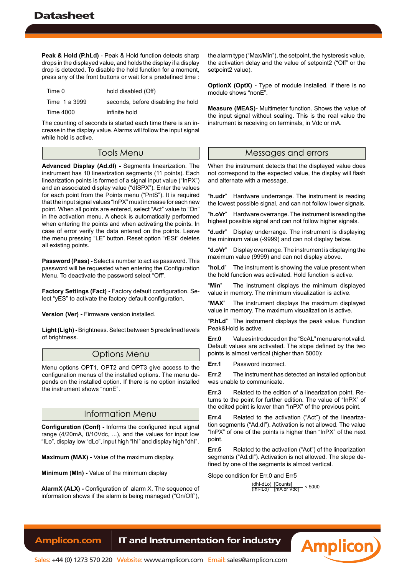**User's Manual M40-P**

**Peak & Hold (P.hLd)** - Peak & Hold function detects sharp drops in the displayed value, and holds the display if a display drop is detected. To disable the hold function for a moment, press any of the front buttons or wait for a predefined time :

| Time 0        | hold disabled (Off)                |
|---------------|------------------------------------|
| Time 1 a 3999 | seconds, before disabling the hold |
| Time 4000     | infinite hold                      |

The counting of seconds is started each time there is an increase in the display value. Alarms will follow the input signal while hold is active.

#### Tools Menu

**Advanced Display (Ad.dI) -** Segments linearization. The instrument has 10 linearization segments (11 points). Each linearization points is formed of a signal input value ("InPX") and an associated display value ("dISPX"). Enter the values for each point from the Points menu ("PntS"). It is required that the input signal values "InPX" must increase for each new point. When all points are entered, select "Act" value to "On" in the activation menu. A check is automatically performed when entering the points and when activating the points. In case of error verify the data entered on the points. Leave the menu pressing "LE" button. Reset option "rESt" deletes all existing points.

**Password (Pass) -** Select a number to act as password. This password will be requested when entering the Configuration Menu. To deactivate the password select "Off".

**Factory Settings (Fact) -** Factory default configuration. Select "yES" to activate the factory default configuration.

**Version (Ver) -** Firmware version installed.

**Light (Ligh) -** Brightness. Select between 5 predefined levels of brightness.

#### Options Menu

Menu options OPT1, OPT2 and OPT3 give access to the configuration menus of the installed options. The menu depends on the installed option. If there is no option installed the instrument shows "nonE".

#### Information Menu

**Configuration (Conf) -** Informs the configured input signal range (4/20mA, 0/10Vdc, ...), and the values for input low "ILo", display low "dLo", input high "IhI" and display high "dhI".

**Maximum (MAX) -** Value of the maximum display.

**Minimum (MIn) -** Value of the minimum display

**AlarmX (ALX) -** Configuration of alarm X. The sequence of information shows if the alarm is being managed ("On/Off"),

the alarm type ("Max/Min"), the setpoint, the hysteresis value, the activation delay and the value of setpoint2 ("Off" or the setpoint2 value).

**OptionX (OptX) -** Type of module installed. If there is no module shows "nonE".

**Measure (MEAS)-** Multimeter function. Shows the value of the input signal without scaling. This is the real value the instrument is receiving on terminals, in Vdc or mA.

#### Messages and errors

When the instrument detects that the displayed value does not correspond to the expected value, the display will flash and alternate with a message.

"**h.udr**" Hardware underrange. The instrument is reading the lowest possible signal, and can not follow lower signals.

"**h.oVr**" Hardware overrange. The instrument is reading the highest possible signal and can not follow higher signals.

"**d.udr**" Display underrange. The instrument is displaying the minimum value (-9999) and can not display below.

"**d.oVr**" Display overrange. The instrument is displaying the maximum value (9999) and can not display above.

"**hoLd**" The instrument is showing the value present when the hold function was activated. Hold function is active.

"**Min**" The instrument displays the minimum displayed value in memory. The minimum visualization is active.

"**MAX**" The instrument displays the maximum displayed value in memory. The maximum visualization is active.

"**P.hLd**" The instrument displays the peak value. Function Peak&Hold is active.

**Err.0** Values introduced on the "ScAL" menu are not valid. Default values are activated. The slope defined by the two points is almost vertical (higher than 5000):

**Err.1** Password incorrect.

**Err.2** The instrument has detected an installed option but was unable to communicate.

**Err.3** Related to the edition of a linearization point. Returns to the point for further edition. The value of "InPX" of the edited point is lower than "InPX" of the previous point.

**Err.4** Related to the activation ("Act") of the linearization segments ("Ad.dI"). Activation is not allowed. The value "InPX" of one of the points is higher than "InPX" of the next point.

**Err.5** Related to the activation ("Act") of the linearization segments ("Ad.dI"). Activation is not allowed. The slope defined by one of the segments is almost vertical.

Slope condition for Err.0 and Err5

(dhI-dLo) [Counts] (IhI-ILo) [mA or Vdc] < 5000

**Amplicon**